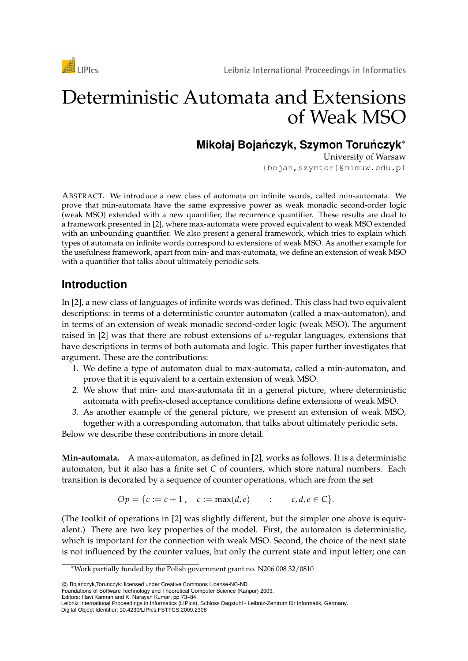

# Deterministic Automata and Extensions of Weak MSO

# **Mikołaj Bojańczyk, Szymon Toruńczyk**\*

University of Warsaw {bojan,szymtor}@mimuw.edu.pl

ABSTRACT. We introduce a new class of automata on infinite words, called min-automata. We prove that min-automata have the same expressive power as weak monadic second-order logic (weak MSO) extended with a new quantifier, the recurrence quantifier. These results are dual to a framework presented in [2], where max-automata were proved equivalent to weak MSO extended with an unbounding quantifier. We also present a general framework, which tries to explain which types of automata on infinite words correspond to extensions of weak MSO. As another example for the usefulness framework, apart from min- and max-automata, we define an extension of weak MSO with a quantifier that talks about ultimately periodic sets.

## **Introduction**

In [2], a new class of languages of infinite words was defined. This class had two equivalent descriptions: in terms of a deterministic counter automaton (called a max-automaton), and in terms of an extension of weak monadic second-order logic (weak MSO). The argument raised in [2] was that there are robust extensions of *ω*-regular languages, extensions that have descriptions in terms of both automata and logic. This paper further investigates that argument. These are the contributions:

- 1. We define a type of automaton dual to max-automata, called a min-automaton, and prove that it is equivalent to a certain extension of weak MSO.
- 2. We show that min- and max-automata fit in a general picture, where deterministic automata with prefix-closed acceptance conditions define extensions of weak MSO.
- 3. As another example of the general picture, we present an extension of weak MSO, together with a corresponding automaton, that talks about ultimately periodic sets.

Below we describe these contributions in more detail.

**Min-automata.** A max-automaton, as defined in [2], works as follows. It is a deterministic automaton, but it also has a finite set *C* of counters, which store natural numbers. Each transition is decorated by a sequence of counter operations, which are from the set

$$
Op = \{c := c + 1, \quad c := \max(d, e) \quad : \quad c, d, e \in C\}.
$$

(The toolkit of operations in [2] was slightly different, but the simpler one above is equivalent.) There are two key properties of the model. First, the automaton is deterministic, which is important for the connection with weak MSO. Second, the choice of the next state is not influenced by the counter values, but only the current state and input letter; one can

(C) Bojańczyk,Toruńczyk; licensed under Creative Commons License-NC-ND.

Foundations of Software Technology and Theoretical Computer Science (Kanpur) 2009.

<sup>∗</sup>Work partially funded by the Polish government grant no. N206 008 32/0810

Editors: Ravi Kannan and K. Narayan Kumar; pp 73–84

Leibniz International Proceedings in Informatics (LIPIcs), Schloss Dagstuhl - Leibniz-Zentrum für Informatik, Germany. Digital Object Identifier: 10.4230/LIPIcs.FSTTCS.2009.2308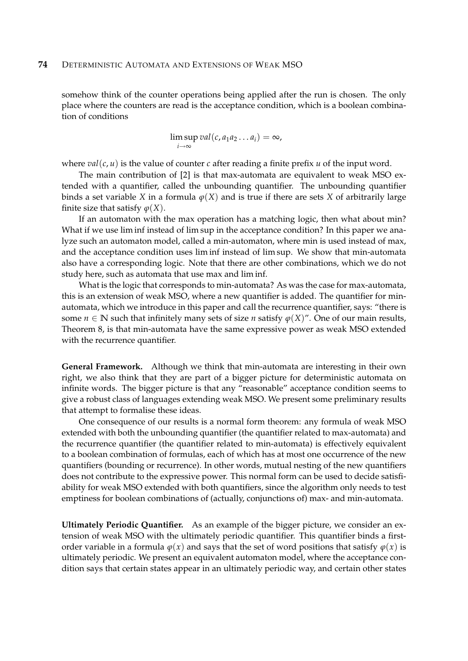somehow think of the counter operations being applied after the run is chosen. The only place where the counters are read is the acceptance condition, which is a boolean combination of conditions

> $\limsup val(c, a_1 a_2 \dots a_i) = \infty$ , *i*→∞

where  $val(c, u)$  is the value of counter  $c$  after reading a finite prefix  $u$  of the input word.

The main contribution of [2] is that max-automata are equivalent to weak MSO extended with a quantifier, called the unbounding quantifier. The unbounding quantifier binds a set variable *X* in a formula  $\varphi$ (*X*) and is true if there are sets *X* of arbitrarily large finite size that satisfy  $\varphi$ (*X*).

If an automaton with the max operation has a matching logic, then what about min? What if we use lim inf instead of lim sup in the acceptance condition? In this paper we analyze such an automaton model, called a min-automaton, where min is used instead of max, and the acceptance condition uses lim inf instead of lim sup. We show that min-automata also have a corresponding logic. Note that there are other combinations, which we do not study here, such as automata that use max and lim inf.

What is the logic that corresponds to min-automata? As was the case for max-automata, this is an extension of weak MSO, where a new quantifier is added. The quantifier for minautomata, which we introduce in this paper and call the recurrence quantifier, says: "there is some  $n \in \mathbb{N}$  such that infinitely many sets of size *n* satisfy  $\varphi(X)$ ". One of our main results, Theorem 8, is that min-automata have the same expressive power as weak MSO extended with the recurrence quantifier.

**General Framework.** Although we think that min-automata are interesting in their own right, we also think that they are part of a bigger picture for deterministic automata on infinite words. The bigger picture is that any "reasonable" acceptance condition seems to give a robust class of languages extending weak MSO. We present some preliminary results that attempt to formalise these ideas.

One consequence of our results is a normal form theorem: any formula of weak MSO extended with both the unbounding quantifier (the quantifier related to max-automata) and the recurrence quantifier (the quantifier related to min-automata) is effectively equivalent to a boolean combination of formulas, each of which has at most one occurrence of the new quantifiers (bounding or recurrence). In other words, mutual nesting of the new quantifiers does not contribute to the expressive power. This normal form can be used to decide satisfiability for weak MSO extended with both quantifiers, since the algorithm only needs to test emptiness for boolean combinations of (actually, conjunctions of) max- and min-automata.

**Ultimately Periodic Quantifier.** As an example of the bigger picture, we consider an extension of weak MSO with the ultimately periodic quantifier. This quantifier binds a firstorder variable in a formula  $\varphi(x)$  and says that the set of word positions that satisfy  $\varphi(x)$  is ultimately periodic. We present an equivalent automaton model, where the acceptance condition says that certain states appear in an ultimately periodic way, and certain other states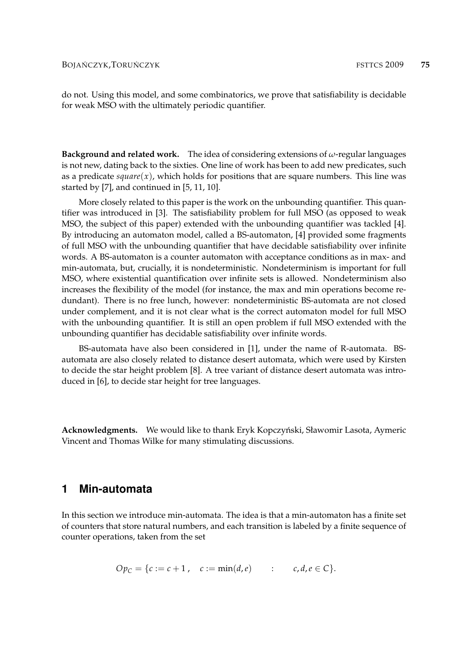do not. Using this model, and some combinatorics, we prove that satisfiability is decidable for weak MSO with the ultimately periodic quantifier.

**Background and related work.** The idea of considering extensions of *ω*-regular languages is not new, dating back to the sixties. One line of work has been to add new predicates, such as a predicate  $square(x)$ , which holds for positions that are square numbers. This line was started by [7], and continued in [5, 11, 10].

More closely related to this paper is the work on the unbounding quantifier. This quantifier was introduced in [3]. The satisfiability problem for full MSO (as opposed to weak MSO, the subject of this paper) extended with the unbounding quantifier was tackled [4]. By introducing an automaton model, called a BS-automaton, [4] provided some fragments of full MSO with the unbounding quantifier that have decidable satisfiability over infinite words. A BS-automaton is a counter automaton with acceptance conditions as in max- and min-automata, but, crucially, it is nondeterministic. Nondeterminism is important for full MSO, where existential quantification over infinite sets is allowed. Nondeterminism also increases the flexibility of the model (for instance, the max and min operations become redundant). There is no free lunch, however: nondeterministic BS-automata are not closed under complement, and it is not clear what is the correct automaton model for full MSO with the unbounding quantifier. It is still an open problem if full MSO extended with the unbounding quantifier has decidable satisfiability over infinite words.

BS-automata have also been considered in [1], under the name of R-automata. BSautomata are also closely related to distance desert automata, which were used by Kirsten to decide the star height problem [8]. A tree variant of distance desert automata was introduced in [6], to decide star height for tree languages.

Acknowledgments. We would like to thank Eryk Kopczyński, Sławomir Lasota, Aymeric Vincent and Thomas Wilke for many stimulating discussions.

#### **1 Min-automata**

In this section we introduce min-automata. The idea is that a min-automaton has a finite set of counters that store natural numbers, and each transition is labeled by a finite sequence of counter operations, taken from the set

$$
Op_C = \{c := c + 1, \quad c := \min(d, e) \quad : \quad c, d, e \in C\}.
$$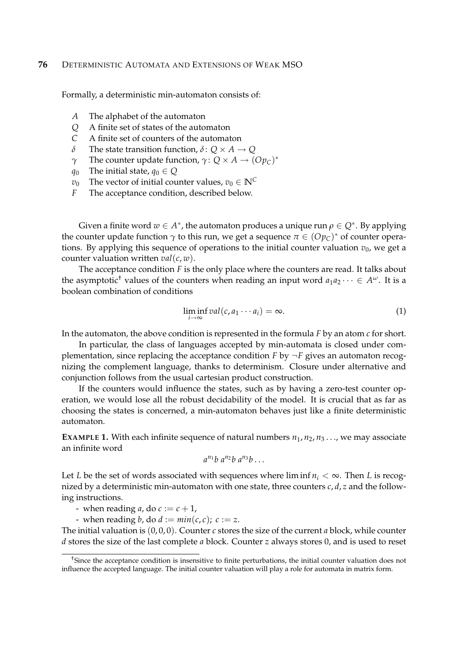Formally, a deterministic min-automaton consists of:

- *A* The alphabet of the automaton
- *Q* A finite set of states of the automaton
- *C* A finite set of counters of the automaton
- *δ* The state transition function, *δ* : *Q* × *A* → *Q*
- *γ* The counter update function,  $\gamma$ :  $Q \times A \rightarrow (Op_C)^*$
- *q*<sub>0</sub> The initial state,  $q_0 \in Q$
- *v*<sub>0</sub> The vector of initial counter values,  $v_0 \in \mathbb{N}^C$
- *F* The acceptance condition, described below.

Given a finite word  $w \in A^*$ , the automaton produces a unique run  $\rho \in Q^*$ . By applying the counter update function  $\gamma$  to this run, we get a sequence  $\pi \in (Op_{\mathcal{C}})^*$  of counter operations. By applying this sequence of operations to the initial counter valuation  $v_0$ , we get a counter valuation written *val*(*c*, *w*).

The acceptance condition *F* is the only place where the counters are read. It talks about the asymptotic<sup>†</sup> values of the counters when reading an input word  $a_1a_2\dots \in A^\omega$ . It is a boolean combination of conditions

$$
\liminf_{i \to \infty} val(c, a_1 \cdots a_i) = \infty.
$$
 (1)

In the automaton, the above condition is represented in the formula *F* by an atom *c* for short.

In particular, the class of languages accepted by min-automata is closed under complementation, since replacing the acceptance condition  $F$  by  $\neg F$  gives an automaton recognizing the complement language, thanks to determinism. Closure under alternative and conjunction follows from the usual cartesian product construction.

If the counters would influence the states, such as by having a zero-test counter operation, we would lose all the robust decidability of the model. It is crucial that as far as choosing the states is concerned, a min-automaton behaves just like a finite deterministic automaton.

**EXAMPLE 1.** With each infinite sequence of natural numbers  $n_1$ ,  $n_2$ ,  $n_3$ ..., we may associate an infinite word

$$
a^{n_1}b\ a^{n_2}b\ a^{n_3}b\ldots
$$

Let *L* be the set of words associated with sequences where  $\liminf n_i < \infty$ . Then *L* is recognized by a deterministic min-automaton with one state, three counters *c*, *d*, *z* and the following instructions.

- when reading *a*, do  $c := c + 1$ ,

- when reading *b*, do  $d := min(c, c)$ ;  $c := z$ .

The initial valuation is  $(0, 0, 0)$ . Counter *c* stores the size of the current *a* block, while counter *d* stores the size of the last complete *a* block. Counter *z* always stores 0, and is used to reset

<sup>†</sup>Since the acceptance condition is insensitive to finite perturbations, the initial counter valuation does not influence the accepted language. The initial counter valuation will play a role for automata in matrix form.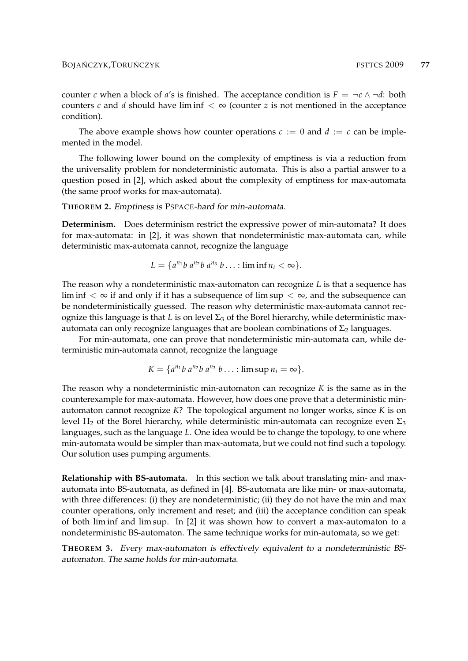counter *c* when a block of *a*'s is finished. The acceptance condition is  $F = \neg c \land \neg d$ : both counters *c* and *d* should have liminf  $\lt \infty$  (counter *z* is not mentioned in the acceptance condition).

The above example shows how counter operations  $c := 0$  and  $d := c$  can be implemented in the model.

The following lower bound on the complexity of emptiness is via a reduction from the universality problem for nondeterministic automata. This is also a partial answer to a question posed in [2], which asked about the complexity of emptiness for max-automata (the same proof works for max-automata).

**THEOREM 2.** Emptiness is PSPACE-hard for min-automata.

**Determinism.** Does determinism restrict the expressive power of min-automata? It does for max-automata: in [2], it was shown that nondeterministic max-automata can, while deterministic max-automata cannot, recognize the language

$$
L = \{a^{n_1}b\ a^{n_2}b\ a^{n_3}\ b\ \ldots \ \colon \liminf n_i < \infty\}.
$$

The reason why a nondeterministic max-automaton can recognize *L* is that a sequence has lim inf  $\langle \infty \rangle$  if and only if it has a subsequence of lim sup  $\langle \infty \rangle$ , and the subsequence can be nondeterministically guessed. The reason why deterministic max-automata cannot recognize this language is that *L* is on level  $\Sigma_3$  of the Borel hierarchy, while deterministic maxautomata can only recognize languages that are boolean combinations of  $\Sigma_2$  languages.

For min-automata, one can prove that nondeterministic min-automata can, while deterministic min-automata cannot, recognize the language

$$
K = \{a^{n_1}b\ a^{n_2}b\ a^{n_3}\ b\ldots \colon \limsup n_i = \infty\}.
$$

The reason why a nondeterministic min-automaton can recognize *K* is the same as in the counterexample for max-automata. However, how does one prove that a deterministic minautomaton cannot recognize *K*? The topological argument no longer works, since *K* is on level  $\Pi_2$  of the Borel hierarchy, while deterministic min-automata can recognize even Σ<sub>3</sub> languages, such as the language *L*. One idea would be to change the topology, to one where min-automata would be simpler than max-automata, but we could not find such a topology. Our solution uses pumping arguments.

**Relationship with BS-automata.** In this section we talk about translating min- and maxautomata into BS-automata, as defined in [4]. BS-automata are like min- or max-automata, with three differences: (i) they are nondeterministic; (ii) they do not have the min and max counter operations, only increment and reset; and (iii) the acceptance condition can speak of both lim inf and lim sup. In [2] it was shown how to convert a max-automaton to a nondeterministic BS-automaton. The same technique works for min-automata, so we get:

**THEOREM 3.** Every max-automaton is effectively equivalent to a nondeterministic BSautomaton. The same holds for min-automata.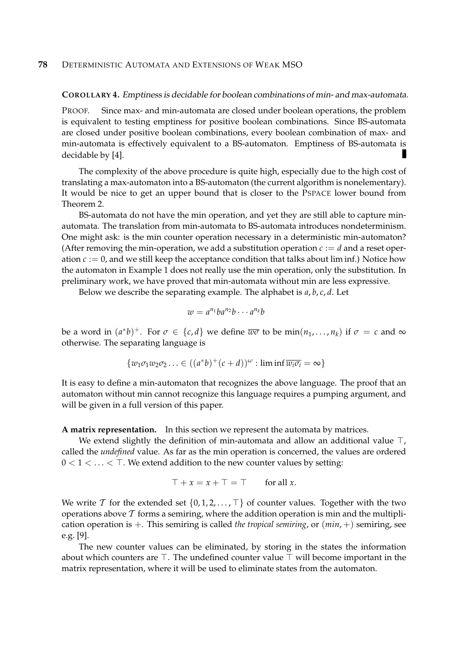#### **COROLLARY 4.** Emptiness is decidable for boolean combinations of min- and max-automata.

PROOF. Since max- and min-automata are closed under boolean operations, the problem is equivalent to testing emptiness for positive boolean combinations. Since BS-automata are closed under positive boolean combinations, every boolean combination of max- and min-automata is effectively equivalent to a BS-automaton. Emptiness of BS-automata is decidable by [4].

The complexity of the above procedure is quite high, especially due to the high cost of translating a max-automaton into a BS-automaton (the current algorithm is nonelementary). It would be nice to get an upper bound that is closer to the PSPACE lower bound from Theorem 2.

BS-automata do not have the min operation, and yet they are still able to capture minautomata. The translation from min-automata to BS-automata introduces nondeterminism. One might ask: is the min counter operation necessary in a deterministic min-automaton? (After removing the min-operation, we add a substitution operation  $c := d$  and a reset operation  $c := 0$ , and we still keep the acceptance condition that talks about lim inf.) Notice how the automaton in Example 1 does not really use the min operation, only the substitution. In preliminary work, we have proved that min-automata without min are less expressive.

Below we describe the separating example. The alphabet is *a*, *b*, *c*, *d*. Let

$$
w = a^{n_1}ba^{n_2}b\cdots a^{n_k}b
$$

be a word in  $(a^*b)^+$ . For  $\sigma \in \{c, d\}$  we define  $\overline{w\sigma}$  to be  $\min(n_1, \ldots, n_k)$  if  $\sigma = c$  and  $\infty$ otherwise. The separating language is

$$
\{w_1\sigma_1w_2\sigma_2\ldots\in ((a^*b)^+(c+d))^{\omega} : \liminf \overline{w_i\sigma_i} = \infty\}
$$

It is easy to define a min-automaton that recognizes the above language. The proof that an automaton without min cannot recognize this language requires a pumping argument, and will be given in a full version of this paper.

**A matrix representation.** In this section we represent the automata by matrices.

We extend slightly the definition of min-automata and allow an additional value  $\top$ , called the *undefined* value. As far as the min operation is concerned, the values are ordered  $0 < 1 < \ldots < T$ . We extend addition to the new counter values by setting:

$$
\top + x = x + \top = \top \qquad \text{for all } x.
$$

We write T for the extended set  $\{0, 1, 2, \ldots, \top\}$  of counter values. Together with the two operations above  $\mathcal T$  forms a semiring, where the addition operation is min and the multiplication operation is +. This semiring is called *the tropical semiring*, or (*min*, +) semiring, see e.g. [9].

The new counter values can be eliminated, by storing in the states the information about which counters are  $\top$ . The undefined counter value  $\top$  will become important in the matrix representation, where it will be used to eliminate states from the automaton.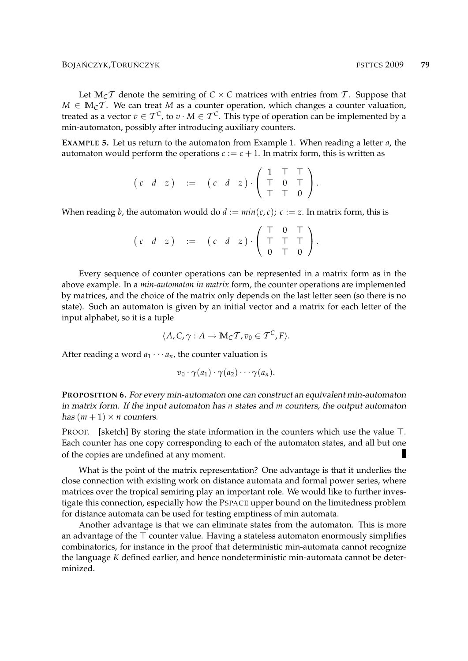Let  $M_C\mathcal{T}$  denote the semiring of  $C \times C$  matrices with entries from  $\mathcal{T}$ . Suppose that  $M \in M_{\mathcal{C}}$ . We can treat *M* as a counter operation, which changes a counter valuation, treated as a vector  $v \in \mathcal{T}^{\mathcal{C}}$ , to  $v \cdot M \in \mathcal{T}^{\mathcal{C}}$ . This type of operation can be implemented by a min-automaton, possibly after introducing auxiliary counters.

**EXAMPLE 5.** Let us return to the automaton from Example 1. When reading a letter *a*, the automaton would perform the operations  $c := c + 1$ . In matrix form, this is written as

$$
(c \ d \ z) \ := \ (c \ d \ z) \cdot \left( \begin{array}{rrr} 1 & \top & \top \\ \top & 0 & \top \\ \top & \top & 0 \end{array} \right).
$$

When reading *b*, the automaton would do  $d := min(c, c)$ ;  $c := z$ . In matrix form, this is

$$
(c \ d \ z) \ := \ (c \ d \ z) \cdot \left( \begin{array}{rrr} \top & 0 & \top \\ \top & \top & \top \\ 0 & \top & 0 \end{array} \right).
$$

Every sequence of counter operations can be represented in a matrix form as in the above example. In a *min-automaton in matrix* form, the counter operations are implemented by matrices, and the choice of the matrix only depends on the last letter seen (so there is no state). Such an automaton is given by an initial vector and a matrix for each letter of the input alphabet, so it is a tuple

$$
\langle A, C, \gamma : A \to \mathbb{M}_{\mathbb{C}} \mathcal{T}, v_0 \in \mathcal{T}^{\mathbb{C}}, F \rangle.
$$

After reading a word  $a_1 \cdots a_n$ , the counter valuation is

$$
v_0 \cdot \gamma(a_1) \cdot \gamma(a_2) \cdots \gamma(a_n).
$$

**PROPOSITION 6.** For every min-automaton one can construct an equivalent min-automaton in matrix form. If the input automaton has *n* states and *m* counters, the output automaton has  $(m + 1) \times n$  counters.

PROOF. [sketch] By storing the state information in the counters which use the value  $\top$ . Each counter has one copy corresponding to each of the automaton states, and all but one of the copies are undefined at any moment.

What is the point of the matrix representation? One advantage is that it underlies the close connection with existing work on distance automata and formal power series, where matrices over the tropical semiring play an important role. We would like to further investigate this connection, especially how the PSPACE upper bound on the limitedness problem for distance automata can be used for testing emptiness of min automata.

Another advantage is that we can eliminate states from the automaton. This is more an advantage of the  $\top$  counter value. Having a stateless automaton enormously simplifies combinatorics, for instance in the proof that deterministic min-automata cannot recognize the language *K* defined earlier, and hence nondeterministic min-automata cannot be determinized.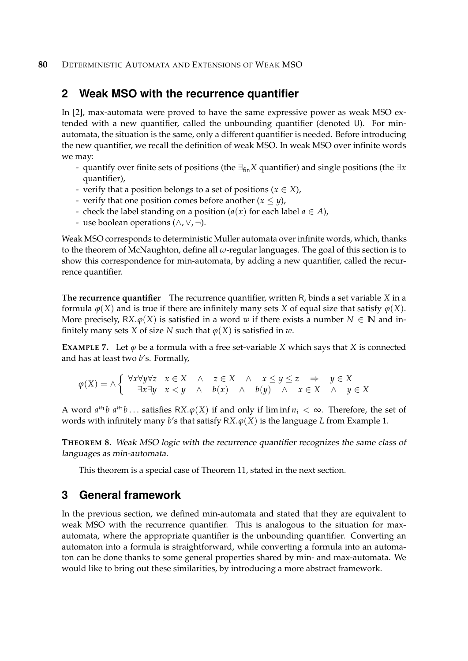### **2 Weak MSO with the recurrence quantifier**

In [2], max-automata were proved to have the same expressive power as weak MSO extended with a new quantifier, called the unbounding quantifier (denoted U). For minautomata, the situation is the same, only a different quantifier is needed. Before introducing the new quantifier, we recall the definition of weak MSO. In weak MSO over infinite words we may:

- quantify over finite sets of positions (the ∃fin*X* quantifier) and single positions (the ∃*x* quantifier),
- verify that a position belongs to a set of positions ( $x \in X$ ),
- verify that one position comes before another  $(x \le y)$ ,
- check the label standing on a position  $(a(x))$  for each label  $a \in A$ ),
- use boolean operations  $(\wedge, \vee, \neg)$ .

Weak MSO corresponds to deterministic Muller automata over infinite words, which, thanks to the theorem of McNaughton, define all *ω*-regular languages. The goal of this section is to show this correspondence for min-automata, by adding a new quantifier, called the recurrence quantifier.

**The recurrence quantifier** The recurrence quantifier, written R, binds a set variable *X* in a formula *ϕ*(*X*) and is true if there are infinitely many sets *X* of equal size that satisfy *ϕ*(*X*). More precisely,  $RX.\varphi(X)$  is satisfied in a word *w* if there exists a number  $N \in \mathbb{N}$  and infinitely many sets *X* of size *N* such that  $\varphi$ (*X*) is satisfied in *w*.

**EXAMPLE 7.** Let  $\varphi$  be a formula with a free set-variable *X* which says that *X* is connected and has at least two *b*'s. Formally,

$$
\varphi(X) = \wedge \left\{ \begin{array}{ccc} \forall x \forall y \forall z & x \in X & \wedge & z \in X & \wedge & x \leq y \leq z & \Rightarrow & y \in X \\ \exists x \exists y & x < y & \wedge & b(x) & \wedge & b(y) & \wedge & x \in X & \wedge & y \in X \end{array} \right.
$$

A word  $a^{n_1}b$   $a^{n_2}b$ ... satisfies RX. $\varphi(X)$  if and only if lim inf  $n_i < \infty$ . Therefore, the set of words with infinitely many *b*'s that satisfy  $RX.\varphi(X)$  is the language *L* from Example 1.

**THEOREM 8.** Weak MSO logic with the recurrence quantifier recognizes the same class of languages as min-automata.

This theorem is a special case of Theorem 11, stated in the next section.

# **3 General framework**

In the previous section, we defined min-automata and stated that they are equivalent to weak MSO with the recurrence quantifier. This is analogous to the situation for maxautomata, where the appropriate quantifier is the unbounding quantifier. Converting an automaton into a formula is straightforward, while converting a formula into an automaton can be done thanks to some general properties shared by min- and max-automata. We would like to bring out these similarities, by introducing a more abstract framework.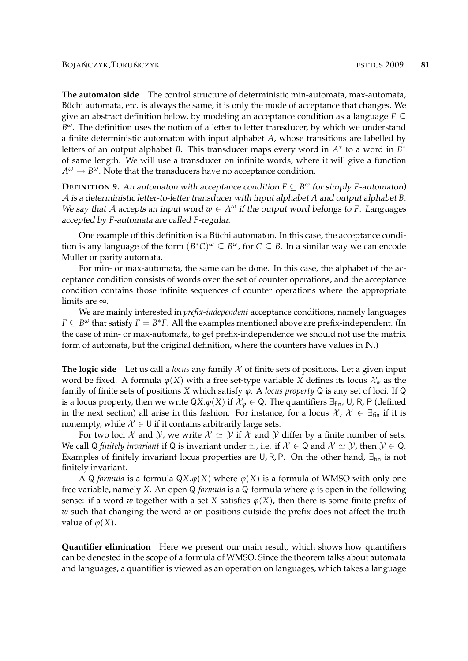**The automaton side** The control structure of deterministic min-automata, max-automata, Büchi automata, etc. is always the same, it is only the mode of acceptance that changes. We give an abstract definition below, by modeling an acceptance condition as a language *F* ⊆ *B <sup>ω</sup>*. The definition uses the notion of a letter to letter transducer, by which we understand a finite deterministic automaton with input alphabet *A*, whose transitions are labelled by letters of an output alphabet *B*. This transducer maps every word in  $A^*$  to a word in  $B^*$ of same length. We will use a transducer on infinite words, where it will give a function  $A^\omega \rightarrow B^\omega.$  Note that the transducers have no acceptance condition.

**DEFINITION 9.** An automaton with acceptance condition  $F \subseteq B^{\omega}$  (or simply *F*-automaton) A is a deterministic letter-to-letter transducer with input alphabet *A* and output alphabet *B*. We say that A accepts an input word  $w \in A^{\omega}$  if the output word belongs to *F*. Languages accepted by *F*-automata are called *F*-regular.

One example of this definition is a Büchi automaton. In this case, the acceptance condition is any language of the form  $(B^*C)^\omega \subseteq B^\omega$ , for  $C \subseteq B$ . In a similar way we can encode Muller or parity automata.

For min- or max-automata, the same can be done. In this case, the alphabet of the acceptance condition consists of words over the set of counter operations, and the acceptance condition contains those infinite sequences of counter operations where the appropriate limits are ∞.

We are mainly interested in *prefix-independent* acceptance conditions, namely languages  $F \subseteq B^{\omega}$  that satisfy  $F = B^*F$ . All the examples mentioned above are prefix-independent. (In the case of min- or max-automata, to get prefix-independence we should not use the matrix form of automata, but the original definition, where the counters have values in **N**.)

**The logic side** Let us call a *locus* any family X of finite sets of positions. Let a given input word be fixed. A formula  $\varphi$ (*X*) with a free set-type variable *X* defines its locus  $\mathcal{X}_{\varphi}$  as the family of finite sets of positions *X* which satisfy *ϕ*. A *locus property* Q is any set of loci. If Q is a locus property, then we write  $QX.\varphi(X)$  if  $\mathcal{X}_{\varphi} \in Q$ . The quantifiers  $\exists_{fin}$ , U, R, P (defined in the next section) all arise in this fashion. For instance, for a locus  $\mathcal{X}, \mathcal{X} \in \exists_{fin}$  if it is nonempty, while  $X \in \mathsf{U}$  if it contains arbitrarily large sets.

For two loci X and Y, we write  $X \simeq Y$  if X and Y differ by a finite number of sets. We call Q *finitely invariant* if Q is invariant under  $\simeq$ , i.e. if  $X \in \mathbb{Q}$  and  $X \simeq \mathcal{Y}$ , then  $\mathcal{Y} \in \mathbb{Q}$ . Examples of finitely invariant locus properties are U, R, P. On the other hand,  $\exists_{fin}$  is not finitely invariant.

A Q-formula is a formula  $QX.\varphi(X)$  where  $\varphi(X)$  is a formula of WMSO with only one free variable, namely *X*. An open Q-formula is a Q-formula where  $\varphi$  is open in the following sense: if a word *w* together with a set *X* satisfies  $\varphi(X)$ , then there is some finite prefix of *w* such that changing the word *w* on positions outside the prefix does not affect the truth value of  $\varphi(X)$ .

**Quantifier elimination** Here we present our main result, which shows how quantifiers can be denested in the scope of a formula of WMSO. Since the theorem talks about automata and languages, a quantifier is viewed as an operation on languages, which takes a language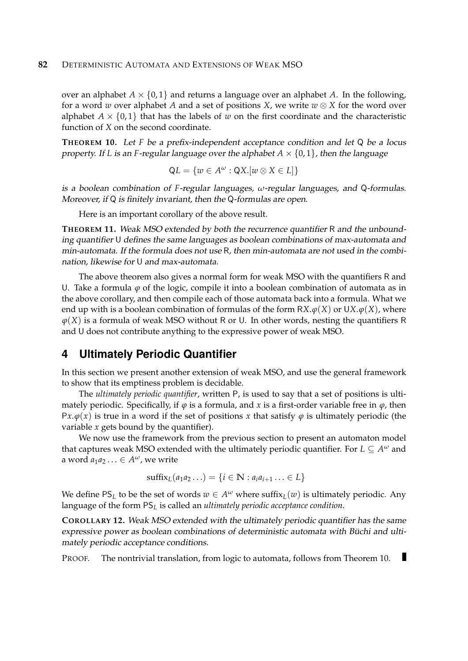over an alphabet  $A \times \{0,1\}$  and returns a language over an alphabet A. In the following, for a word *w* over alphabet *A* and a set of positions *X*, we write  $w \otimes X$  for the word over alphabet  $A \times \{0,1\}$  that has the labels of *w* on the first coordinate and the characteristic function of *X* on the second coordinate.

**THEOREM 10.** Let *F* be a prefix-independent acceptance condition and let Q be a locus property. If *L* is an *F*-regular language over the alphabet  $A \times \{0, 1\}$ , then the language

$$
QL = \{ w \in A^{\omega} : QX. [w \otimes X \in L] \}
$$

is a boolean combination of *F*-regular languages, *ω*-regular languages, and Q-formulas. Moreover, if Q is finitely invariant, then the Q-formulas are open.

Here is an important corollary of the above result.

**THEOREM 11.** Weak MSO extended by both the recurrence quantifier R and the unbounding quantifier U defines the same languages as boolean combinations of max-automata and min-automata. If the formula does not use R, then min-automata are not used in the combination, likewise for U and max-automata.

The above theorem also gives a normal form for weak MSO with the quantifiers R and U. Take a formula  $\varphi$  of the logic, compile it into a boolean combination of automata as in the above corollary, and then compile each of those automata back into a formula. What we end up with is a boolean combination of formulas of the form  $RX.\varphi(X)$  or  $UX.\varphi(X)$ , where *ϕ*(*X*) is a formula of weak MSO without R or U. In other words, nesting the quantifiers R and U does not contribute anything to the expressive power of weak MSO.

#### **4 Ultimately Periodic Quantifier**

In this section we present another extension of weak MSO, and use the general framework to show that its emptiness problem is decidable.

The *ultimately periodic quantifier*, written P, is used to say that a set of positions is ultimately periodic. Specifically, if  $\varphi$  is a formula, and *x* is a first-order variable free in  $\varphi$ , then  $Px.\varphi(x)$  is true in a word if the set of positions *x* that satisfy  $\varphi$  is ultimately periodic (the variable *x* gets bound by the quantifier).

We now use the framework from the previous section to present an automaton model that captures weak MSO extended with the ultimately periodic quantifier. For *L* ⊆ *A <sup>ω</sup>* and a word  $a_1 a_2 \ldots \in A^{\omega}$ , we write

$$
\text{suffix}_L(a_1a_2\ldots) = \{i \in \mathbb{N} : a_ia_{i+1}\ldots \in L\}
$$

We define PS<sub>L</sub> to be the set of words  $w \in A^\omega$  where suffix $_L(w)$  is ultimately periodic. Any language of the form PS*<sup>L</sup>* is called an *ultimately periodic acceptance condition*.

**COROLLARY 12.** Weak MSO extended with the ultimately periodic quantifier has the same expressive power as boolean combinations of deterministic automata with Büchi and ultimately periodic acceptance conditions.

PROOF. The nontrivial translation, from logic to automata, follows from Theorem 10.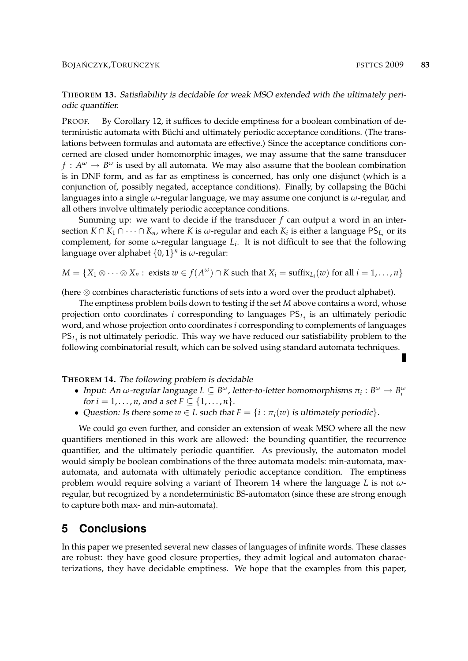#### **THEOREM 13.** Satisfiability is decidable for weak MSO extended with the ultimately periodic quantifier.

PROOF. By Corollary 12, it suffices to decide emptiness for a boolean combination of deterministic automata with Büchi and ultimately periodic acceptance conditions. (The translations between formulas and automata are effective.) Since the acceptance conditions concerned are closed under homomorphic images, we may assume that the same transducer  $f: A^\omega \to B^\omega$  is used by all automata. We may also assume that the boolean combination is in DNF form, and as far as emptiness is concerned, has only one disjunct (which is a conjunction of, possibly negated, acceptance conditions). Finally, by collapsing the Büchi languages into a single *ω*-regular language, we may assume one conjunct is *ω*-regular, and all others involve ultimately periodic acceptance conditions.

Summing up: we want to decide if the transducer *f* can output a word in an intersection  $K \cap K_1 \cap \cdots \cap K_n$ , where  $K$  is  $\omega$ -regular and each  $K_i$  is either a language  $PS_{L_i}$  or its complement, for some *ω*-regular language *L<sup>i</sup>* . It is not difficult to see that the following language over alphabet {0, 1} *n* is *ω*-regular:

 $M = \{X_1 \otimes \cdots \otimes X_n : \text{ exists } w \in f(A^{\omega}) \cap K \text{ such that } X_i = \text{suffix}_{L_i}(w) \text{ for all } i = 1, \ldots, n\}$ 

(here ⊗ combines characteristic functions of sets into a word over the product alphabet).

The emptiness problem boils down to testing if the set *M* above contains a word, whose projection onto coordinates *i* corresponding to languages PS*L<sup>i</sup>* is an ultimately periodic word, and whose projection onto coordinates *i* corresponding to complements of languages PS<sub>L<sub>*i</sub>*</sub> is not ultimately periodic. This way we have reduced our satisfiability problem to the</sub> following combinatorial result, which can be solved using standard automata techniques.

**THEOREM 14.** The following problem is decidable

- $\bullet$  *Input: An ω-regular language L* ⊆ *B<sup>ω</sup>*, *letter-to-letter homomorphisms*  $\pi_i : B^\omega \to B^\omega_i$ for  $i = 1, ..., n$ , and a set  $F \subseteq \{1, ..., n\}$ .
- Question: Is there some  $w \in L$  such that  $F = \{i : \pi_i(w)$  is ultimately periodic $\}$ .

We could go even further, and consider an extension of weak MSO where all the new quantifiers mentioned in this work are allowed: the bounding quantifier, the recurrence quantifier, and the ultimately periodic quantifier. As previously, the automaton model would simply be boolean combinations of the three automata models: min-automata, maxautomata, and automata with ultimately periodic acceptance condition. The emptiness problem would require solving a variant of Theorem 14 where the language *L* is not *ω*regular, but recognized by a nondeterministic BS-automaton (since these are strong enough to capture both max- and min-automata).

#### **5 Conclusions**

In this paper we presented several new classes of languages of infinite words. These classes are robust: they have good closure properties, they admit logical and automaton characterizations, they have decidable emptiness. We hope that the examples from this paper,